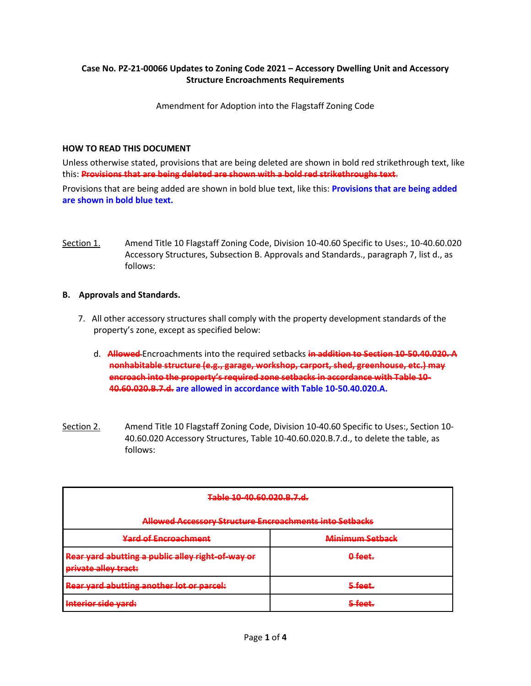## **Case No. PZ-21-00066 Updates to Zoning Code 2021 – Accessory Dwelling Unit and Accessory Structure Encroachments Requirements**

Amendment for Adoption into the Flagstaff Zoning Code

## **HOW TO READ THIS DOCUMENT**

Unless otherwise stated, provisions that are being deleted are shown in bold red strikethrough text, like this: **Provisions that are being deleted are shown with a bold red strikethroughs text**.

Provisions that are being added are shown in bold blue text, like this: **Provisions that are being added are shown in bold blue text.**

Section 1. Amend Title 10 Flagstaff Zoning Code, Division 10-40.60 Specific to Uses:, 10-40.60.020 Accessory Structures, Subsection B. Approvals and Standards., paragraph 7, list d., as follows:

## **B. Approvals and Standards.**

- 7. All other accessory structures shall comply with the property development standards of the property's zone, except as specified below:
	- d. **Allowed** Encroachments into the required setbacks **in addition to Section 10-50.40.020. A nonhabitable structure (e.g., garage, workshop, carport, shed, greenhouse, etc.) may encroach into the property's required zone setbacks in accordance with Table 10- 40.60.020.B.7.d. are allowed in accordance with Table 10-50.40.020.A.**
- Section 2. Amend Title 10 Flagstaff Zoning Code, Division 10-40.60 Specific to Uses:, Section 10- 40.60.020 Accessory Structures, Table 10-40.60.020.B.7.d., to delete the table, as follows:

| Table 10-40.60.020.B.7.d.                                                 |                        |  |
|---------------------------------------------------------------------------|------------------------|--|
| Allowed Accessory Structure Encroachments into Setbacks                   |                        |  |
| <b>Yard of Encroachment</b>                                               | <b>Minimum Setback</b> |  |
| Rear yard abutting a public alley right-of-way or<br>private alley tract: | 0-feet.                |  |
| Rear yard abutting another lot or parcel:                                 | <del>5 feet.</del>     |  |
| Interior side yard:                                                       |                        |  |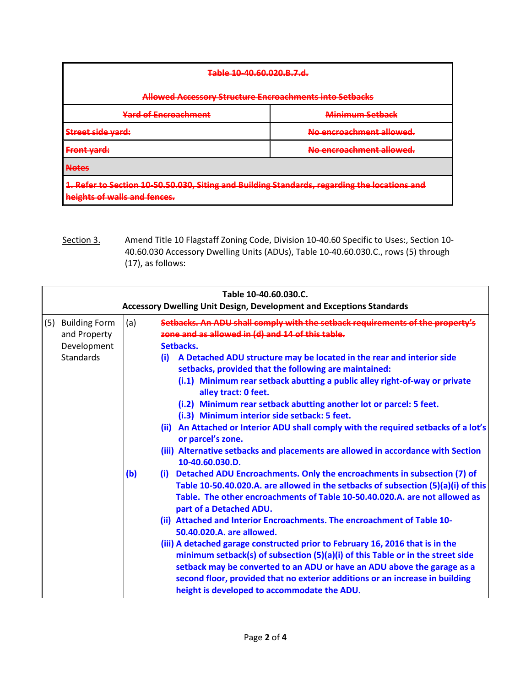| Table 10-40.60.020.B.7.d.                                                                                                                                           |                          |  |  |
|---------------------------------------------------------------------------------------------------------------------------------------------------------------------|--------------------------|--|--|
| Allowed Accessory Structure Encroachments into Setbacks                                                                                                             |                          |  |  |
| <b>Yard of Encroachment</b>                                                                                                                                         | Minimum Setback          |  |  |
| Stroot cido vard:<br><del>ou cet side varu.</del>                                                                                                                   | No encroachment allowed. |  |  |
| <b>Front yard:</b>                                                                                                                                                  | No encroachment allowed. |  |  |
| <b>Notes</b>                                                                                                                                                        |                          |  |  |
| 1. Refer to Section 10 50.50.030, Siting and Building Standards, regarding the locations and<br>hoights of walls and fonces<br><b>HOISING OF WORD UNDER IGNOCIA</b> |                          |  |  |

Section 3. Amend Title 10 Flagstaff Zoning Code, Division 10-40.60 Specific to Uses:, Section 10-40.60.030 Accessory Dwelling Units (ADUs), Table 10-40.60.030.C., rows (5) through (17), as follows:

| Table 10-40.60.030.C.<br><b>Accessory Dwelling Unit Design, Development and Exceptions Standards</b> |            |                                                                                                                                                                                                                                                                                                                                                                                                                                                                                                                                                                                                                                                                                                                                                                                                                                                                                                                                                                                                                                                                                                                                                                                                                                                                                                                                                                                                                                                                                                        |  |
|------------------------------------------------------------------------------------------------------|------------|--------------------------------------------------------------------------------------------------------------------------------------------------------------------------------------------------------------------------------------------------------------------------------------------------------------------------------------------------------------------------------------------------------------------------------------------------------------------------------------------------------------------------------------------------------------------------------------------------------------------------------------------------------------------------------------------------------------------------------------------------------------------------------------------------------------------------------------------------------------------------------------------------------------------------------------------------------------------------------------------------------------------------------------------------------------------------------------------------------------------------------------------------------------------------------------------------------------------------------------------------------------------------------------------------------------------------------------------------------------------------------------------------------------------------------------------------------------------------------------------------------|--|
| (5) Building Form<br>and Property<br>Development<br>Standards                                        | (a)<br>(b) | Setbacks. An ADU shall comply with the setback requirements of the property<br>zone and as allowed in (d) and 14 of this table.<br>Setbacks.<br>A Detached ADU structure may be located in the rear and interior side<br>(i)<br>setbacks, provided that the following are maintained:<br>(i.1) Minimum rear setback abutting a public alley right-of-way or private<br>alley tract: 0 feet.<br>(i.2) Minimum rear setback abutting another lot or parcel: 5 feet.<br>(i.3) Minimum interior side setback: 5 feet.<br>(ii) An Attached or Interior ADU shall comply with the required setbacks of a lot's<br>or parcel's zone.<br>(iii) Alternative setbacks and placements are allowed in accordance with Section<br>10-40.60.030.D.<br>(i) Detached ADU Encroachments. Only the encroachments in subsection (7) of<br>Table 10-50.40.020.A. are allowed in the setbacks of subsection (5)(a)(i) of this<br>Table. The other encroachments of Table 10-50.40.020.A. are not allowed as<br>part of a Detached ADU.<br>(ii) Attached and Interior Encroachments. The encroachment of Table 10-<br>50.40.020.A. are allowed.<br>(iii) A detached garage constructed prior to February 16, 2016 that is in the<br>minimum setback(s) of subsection (5)(a)(i) of this Table or in the street side<br>setback may be converted to an ADU or have an ADU above the garage as a<br>second floor, provided that no exterior additions or an increase in building<br>height is developed to accommodate the ADU. |  |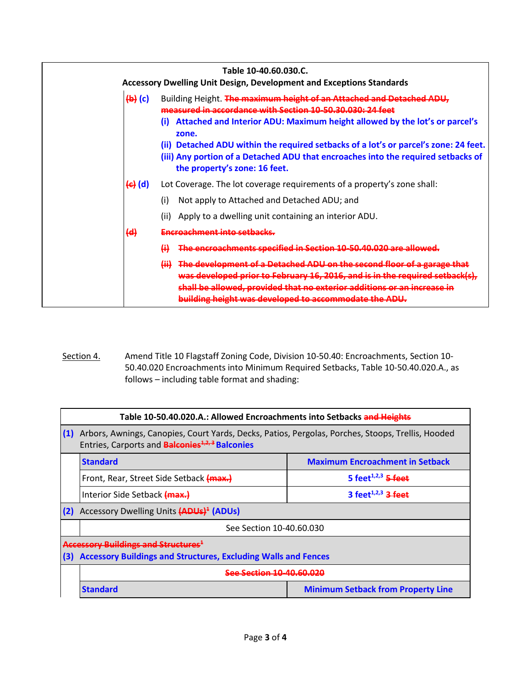| Table 10-40.60.030.C.<br><b>Accessory Dwelling Unit Design, Development and Exceptions Standards</b> |                                                      |                                                                                                                                                                                                                                                                                                                                                                                                                                        |  |
|------------------------------------------------------------------------------------------------------|------------------------------------------------------|----------------------------------------------------------------------------------------------------------------------------------------------------------------------------------------------------------------------------------------------------------------------------------------------------------------------------------------------------------------------------------------------------------------------------------------|--|
|                                                                                                      | $\left\{ \biguplus \left( c \right) \right\}$<br>(i) | Building Height. The maximum height of an Attached and Detached ADU,<br>measured in accordance with Section 10,50,30,030; 24 feet<br>Attached and Interior ADU: Maximum height allowed by the lot's or parcel's<br>zone.<br>(ii) Detached ADU within the required setbacks of a lot's or parcel's zone: 24 feet.<br>(iii) Any portion of a Detached ADU that encroaches into the required setbacks of<br>the property's zone: 16 feet. |  |
|                                                                                                      | <del>(c)</del> (d)<br>(i)<br>(ii)                    | Lot Coverage. The lot coverage requirements of a property's zone shall:<br>Not apply to Attached and Detached ADU; and<br>Apply to a dwelling unit containing an interior ADU.                                                                                                                                                                                                                                                         |  |
|                                                                                                      | <del>(d)</del><br>H                                  | Encroachment into setbacks.<br>The encroachments specified in Section 10-50.40.020 are allowed.<br>(ii) The development of a Detached ADU on the second floor of a garage that<br>was developed prior to February 16, 2016, and is in the required setback(s),<br>shall be allowed, provided that no exterior additions or an increase in<br>building height was developed to accommodate the ADU.                                     |  |

Section 4. Amend Title 10 Flagstaff Zoning Code, Division 10-50.40: Encroachments, Section 10-50.40.020 Encroachments into Minimum Required Setbacks, Table 10-50.40.020.A., as follows – including table format and shading:

| Table 10-50.40.020.A.: Allowed Encroachments into Setbacks and Heights |                                                                                                                                                                        |                                             |  |  |  |
|------------------------------------------------------------------------|------------------------------------------------------------------------------------------------------------------------------------------------------------------------|---------------------------------------------|--|--|--|
| (1)                                                                    | Arbors, Awnings, Canopies, Court Yards, Decks, Patios, Pergolas, Porches, Stoops, Trellis, Hooded<br>Entries, Carports and <b>Balconies</b> <sup>4,2,3</sup> Balconies |                                             |  |  |  |
|                                                                        | <b>Maximum Encroachment in Setback</b><br><b>Standard</b>                                                                                                              |                                             |  |  |  |
|                                                                        | Front, Rear, Street Side Setback (max.)                                                                                                                                | 5 feet <sup><math>1,2,3</math></sup> 5 feet |  |  |  |
|                                                                        | Interior Side Setback (max.)                                                                                                                                           | 3 feet <sup><math>1,2,3</math></sup> 3 feet |  |  |  |
| (2)                                                                    | Accessory Dwelling Units (ADUs) <sup>4</sup> (ADUs)                                                                                                                    |                                             |  |  |  |
|                                                                        | See Section 10-40.60.030                                                                                                                                               |                                             |  |  |  |
|                                                                        | Accessory Buildings and Structures <sup>1</sup>                                                                                                                        |                                             |  |  |  |
| (3)                                                                    | <b>Accessory Buildings and Structures, Excluding Walls and Fences</b>                                                                                                  |                                             |  |  |  |
|                                                                        | See Section 10,40 60 020                                                                                                                                               |                                             |  |  |  |
| <b>Standard</b><br><b>Minimum Setback from Property Line</b>           |                                                                                                                                                                        |                                             |  |  |  |